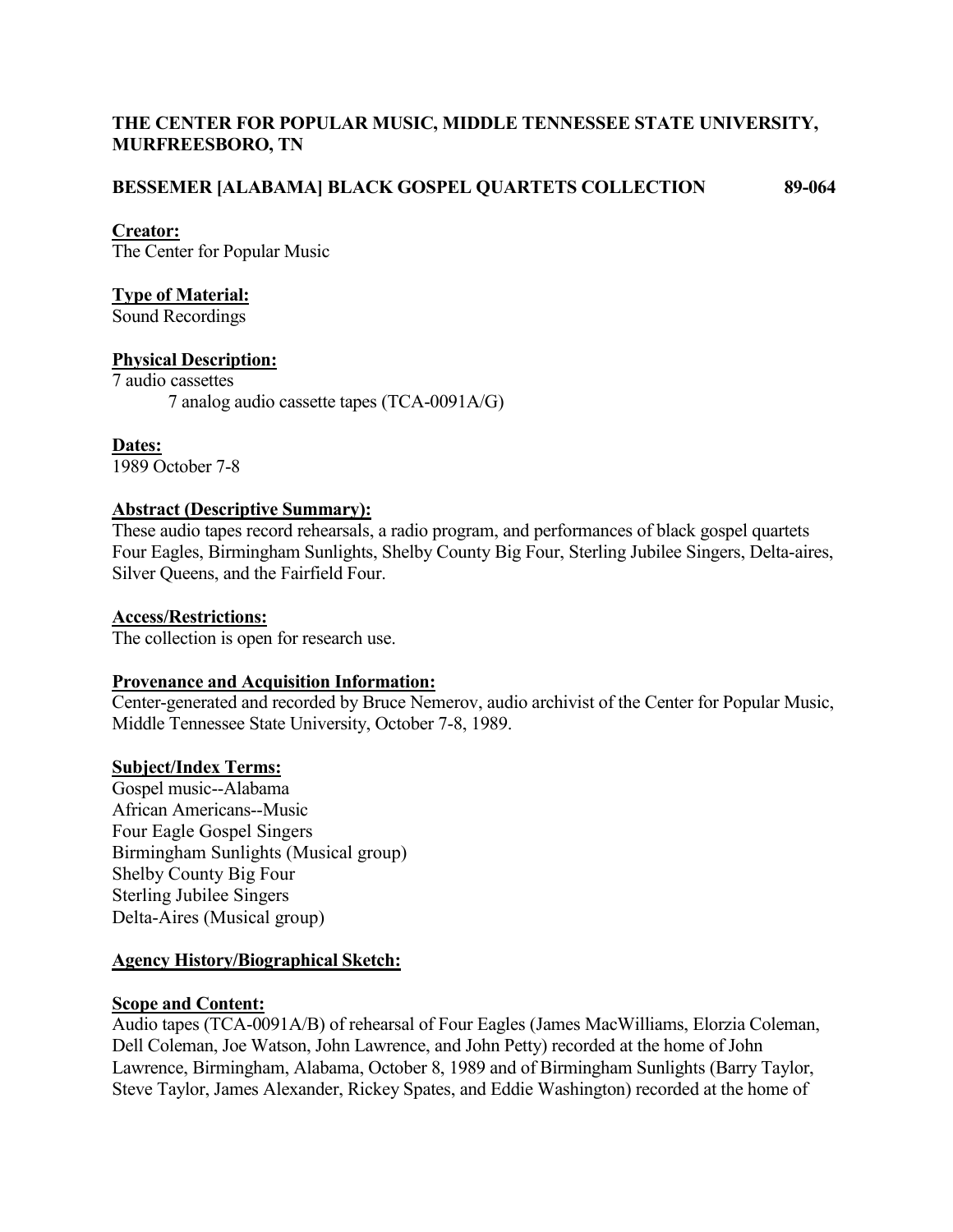# **THE CENTER FOR POPULAR MUSIC, MIDDLE TENNESSEE STATE UNIVERSITY, MURFREESBORO, TN**

### **BESSEMER [ALABAMA] BLACK GOSPEL QUARTETS COLLECTION 89-064**

#### **Creator:**

The Center for Popular Music

### **Type of Material:**

Sound Recordings

# **Physical Description:**

7 audio cassettes 7 analog audio cassette tapes (TCA-0091A/G)

**Dates:** 1989 October 7-8

#### **Abstract (Descriptive Summary):**

These audio tapes record rehearsals, a radio program, and performances of black gospel quartets Four Eagles, Birmingham Sunlights, Shelby County Big Four, Sterling Jubilee Singers, Delta-aires, Silver Queens, and the Fairfield Four.

#### **Access/Restrictions:**

The collection is open for research use.

#### **Provenance and Acquisition Information:**

Center-generated and recorded by Bruce Nemerov, audio archivist of the Center for Popular Music, Middle Tennessee State University, October 7-8, 1989.

#### **Subject/Index Terms:**

Gospel music--Alabama African Americans--Music Four Eagle Gospel Singers Birmingham Sunlights (Musical group) Shelby County Big Four Sterling Jubilee Singers Delta-Aires (Musical group)

#### **Agency History/Biographical Sketch:**

#### **Scope and Content:**

Audio tapes (TCA-0091A/B) of rehearsal of Four Eagles (James MacWilliams, Elorzia Coleman, Dell Coleman, Joe Watson, John Lawrence, and John Petty) recorded at the home of John Lawrence, Birmingham, Alabama, October 8, 1989 and of Birmingham Sunlights (Barry Taylor, Steve Taylor, James Alexander, Rickey Spates, and Eddie Washington) recorded at the home of